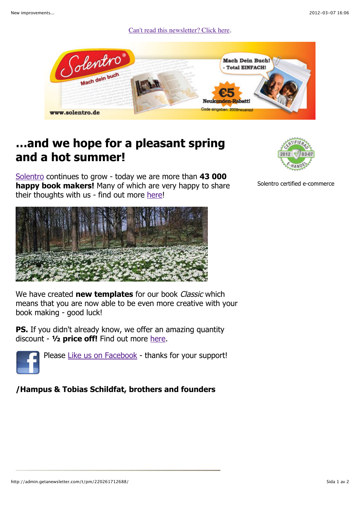Can't read this newsletter? Click here.



## **…and we hope for a pleasant spring and a hot summer!**

Solentro continues to grow - today we are more than **43 000 happy book makers!** Many of which are very happy to share their thoughts with us - find out more here!



Solentro certified e-commerce



We have created **new templates** for our book *Classic* which means that you are now able to be even more creative with your book making - good luck!

**PS.** If you didn't already know, we offer an amazing quantity discount - **½ price off!** Find out more here.



Please Like us on Facebook - thanks for your support!

## **/Hampus & Tobias Schildfat, brothers and founders**